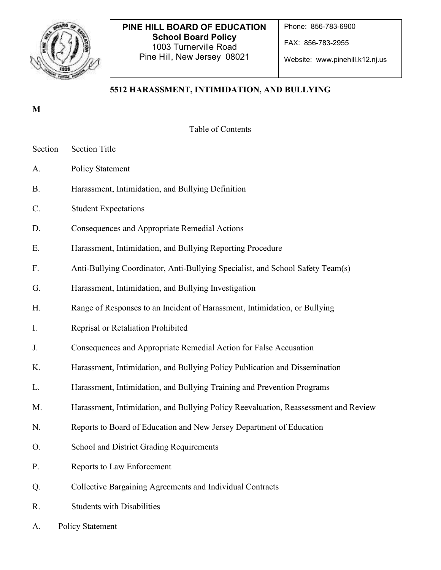

# **PINE HILL BOARD OF EDUCATION School Board Policy**  1003 Turnerville Road Pine Hill, New Jersey 08021

Phone: 856-783-6900

FAX: 856-783-2955

Website: www.pinehill.k12.nj.us

# **5512 HARASSMENT, INTIMIDATION, AND BULLYING**

## **M**

Table of Contents

- Section Section Title
- A. Policy Statement
- B. Harassment, Intimidation, and Bullying Definition
- C. Student Expectations
- D. Consequences and Appropriate Remedial Actions
- E. Harassment, Intimidation, and Bullying Reporting Procedure
- F. Anti-Bullying Coordinator, Anti-Bullying Specialist, and School Safety Team(s)
- G. Harassment, Intimidation, and Bullying Investigation
- H. Range of Responses to an Incident of Harassment, Intimidation, or Bullying
- I. Reprisal or Retaliation Prohibited
- J. Consequences and Appropriate Remedial Action for False Accusation
- K. Harassment, Intimidation, and Bullying Policy Publication and Dissemination
- L. Harassment, Intimidation, and Bullying Training and Prevention Programs
- M. Harassment, Intimidation, and Bullying Policy Reevaluation, Reassessment and Review
- N. Reports to Board of Education and New Jersey Department of Education
- O. School and District Grading Requirements
- P. Reports to Law Enforcement
- Q. Collective Bargaining Agreements and Individual Contracts
- R. Students with Disabilities
- A. Policy Statement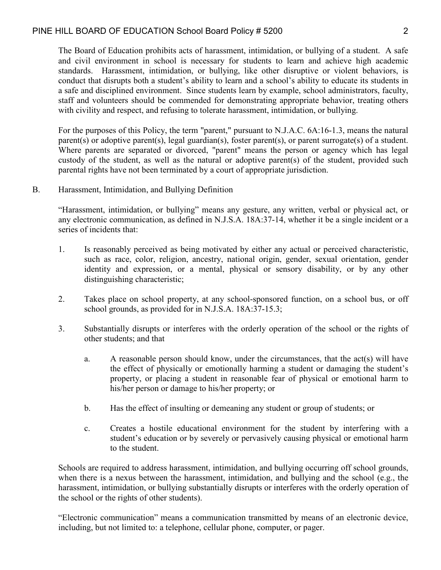The Board of Education prohibits acts of harassment, intimidation, or bullying of a student. A safe and civil environment in school is necessary for students to learn and achieve high academic standards. Harassment, intimidation, or bullying, like other disruptive or violent behaviors, is conduct that disrupts both a student's ability to learn and a school's ability to educate its students in a safe and disciplined environment. Since students learn by example, school administrators, faculty, staff and volunteers should be commended for demonstrating appropriate behavior, treating others with civility and respect, and refusing to tolerate harassment, intimidation, or bullying.

For the purposes of this Policy, the term "parent," pursuant to N.J.A.C. 6A:16-1.3, means the natural parent(s) or adoptive parent(s), legal guardian(s), foster parent(s), or parent surrogate(s) of a student. Where parents are separated or divorced, "parent" means the person or agency which has legal custody of the student, as well as the natural or adoptive parent(s) of the student, provided such parental rights have not been terminated by a court of appropriate jurisdiction.

B. Harassment, Intimidation, and Bullying Definition

"Harassment, intimidation, or bullying" means any gesture, any written, verbal or physical act, or any electronic communication, as defined in N.J.S.A. 18A:37-14, whether it be a single incident or a series of incidents that:

- 1. Is reasonably perceived as being motivated by either any actual or perceived characteristic, such as race, color, religion, ancestry, national origin, gender, sexual orientation, gender identity and expression, or a mental, physical or sensory disability, or by any other distinguishing characteristic;
- 2. Takes place on school property, at any school-sponsored function, on a school bus, or off school grounds, as provided for in N.J.S.A. 18A:37-15.3;
- 3. Substantially disrupts or interferes with the orderly operation of the school or the rights of other students; and that
	- a. A reasonable person should know, under the circumstances, that the act(s) will have the effect of physically or emotionally harming a student or damaging the student's property, or placing a student in reasonable fear of physical or emotional harm to his/her person or damage to his/her property; or
	- b. Has the effect of insulting or demeaning any student or group of students; or
	- c. Creates a hostile educational environment for the student by interfering with a student's education or by severely or pervasively causing physical or emotional harm to the student.

Schools are required to address harassment, intimidation, and bullying occurring off school grounds, when there is a nexus between the harassment, intimidation, and bullying and the school (e.g., the harassment, intimidation, or bullying substantially disrupts or interferes with the orderly operation of the school or the rights of other students).

"Electronic communication" means a communication transmitted by means of an electronic device, including, but not limited to: a telephone, cellular phone, computer, or pager.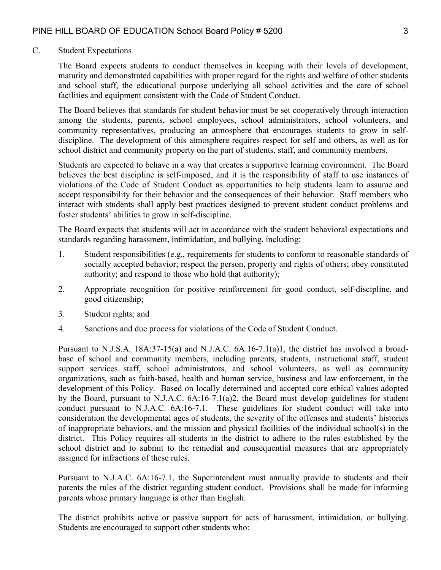#### C. Student Expectations

The Board expects students to conduct themselves in keeping with their levels of development, maturity and demonstrated capabilities with proper regard for the rights and welfare of other students and school staff, the educational purpose underlying all school activities and the care of school facilities and equipment consistent with the Code of Student Conduct.

The Board believes that standards for student behavior must be set cooperatively through interaction among the students, parents, school employees, school administrators, school volunteers, and community representatives, producing an atmosphere that encourages students to grow in selfdiscipline. The development of this atmosphere requires respect for self and others, as well as for school district and community property on the part of students, staff, and community members.

Students are expected to behave in a way that creates a supportive learning environment. The Board believes the best discipline is self-imposed, and it is the responsibility of staff to use instances of violations of the Code of Student Conduct as opportunities to help students learn to assume and accept responsibility for their behavior and the consequences of their behavior. Staff members who interact with students shall apply best practices designed to prevent student conduct problems and foster students' abilities to grow in self-discipline.

The Board expects that students will act in accordance with the student behavioral expectations and standards regarding harassment, intimidation, and bullying, including:

- 1. Student responsibilities (e.g., requirements for students to conform to reasonable standards of socially accepted behavior; respect the person, property and rights of others; obey constituted authority; and respond to those who hold that authority);
- 2. Appropriate recognition for positive reinforcement for good conduct, self-discipline, and good citizenship;
- 3. Student rights; and
- 4. Sanctions and due process for violations of the Code of Student Conduct.

Pursuant to N.J.S.A. 18A:37-15(a) and N.J.A.C. 6A:16-7.1(a)1, the district has involved a broadbase of school and community members, including parents, students, instructional staff, student support services staff, school administrators, and school volunteers, as well as community organizations, such as faith-based, health and human service, business and law enforcement, in the development of this Policy. Based on locally determined and accepted core ethical values adopted by the Board, pursuant to N.J.A.C. 6A:16-7.1(a)2, the Board must develop guidelines for student conduct pursuant to N.J.A.C. 6A:16-7.1. These guidelines for student conduct will take into consideration the developmental ages of students, the severity of the offenses and students' histories of inappropriate behaviors, and the mission and physical facilities of the individual school(s) in the district. This Policy requires all students in the district to adhere to the rules established by the school district and to submit to the remedial and consequential measures that are appropriately assigned for infractions of these rules.

Pursuant to N.J.A.C. 6A:16-7.1, the Superintendent must annually provide to students and their parents the rules of the district regarding student conduct. Provisions shall be made for informing parents whose primary language is other than English.

The district prohibits active or passive support for acts of harassment, intimidation, or bullying. Students are encouraged to support other students who: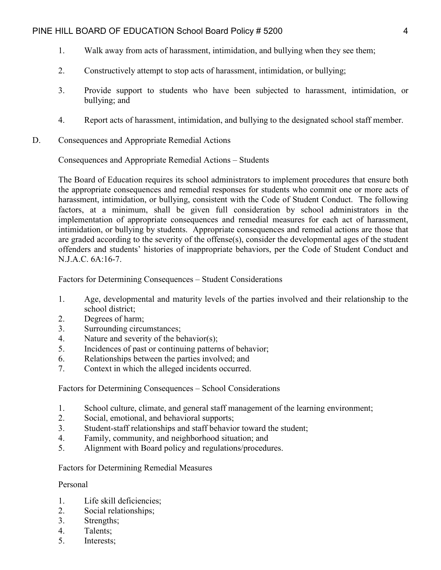- 1. Walk away from acts of harassment, intimidation, and bullying when they see them;
- 2. Constructively attempt to stop acts of harassment, intimidation, or bullying;
- 3. Provide support to students who have been subjected to harassment, intimidation, or bullying; and
- 4. Report acts of harassment, intimidation, and bullying to the designated school staff member.
- D. Consequences and Appropriate Remedial Actions

Consequences and Appropriate Remedial Actions – Students

The Board of Education requires its school administrators to implement procedures that ensure both the appropriate consequences and remedial responses for students who commit one or more acts of harassment, intimidation, or bullying, consistent with the Code of Student Conduct. The following factors, at a minimum, shall be given full consideration by school administrators in the implementation of appropriate consequences and remedial measures for each act of harassment, intimidation, or bullying by students. Appropriate consequences and remedial actions are those that are graded according to the severity of the offense(s), consider the developmental ages of the student offenders and students' histories of inappropriate behaviors, per the Code of Student Conduct and N.J.A.C. 6A:16-7.

Factors for Determining Consequences – Student Considerations

- 1. Age, developmental and maturity levels of the parties involved and their relationship to the school district;
- 2. Degrees of harm;
- 3. Surrounding circumstances;
- 4. Nature and severity of the behavior(s);
- 5. Incidences of past or continuing patterns of behavior;
- 6. Relationships between the parties involved; and
- 7. Context in which the alleged incidents occurred.

Factors for Determining Consequences – School Considerations

- 1. School culture, climate, and general staff management of the learning environment;
- 2. Social, emotional, and behavioral supports;
- 3. Student-staff relationships and staff behavior toward the student;
- 4. Family, community, and neighborhood situation; and
- 5. Alignment with Board policy and regulations/procedures.

Factors for Determining Remedial Measures

#### Personal

- 1. Life skill deficiencies;
- 2. Social relationships;
- 3. Strengths;
- 4. Talents;
- 5. Interests;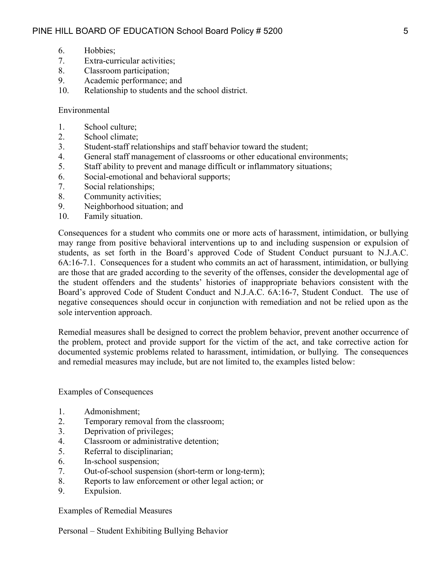- 6. Hobbies;
- 7. Extra-curricular activities;
- 8. Classroom participation;
- 9. Academic performance; and
- 10. Relationship to students and the school district.

#### Environmental

- 1. School culture;
- 2. School climate;
- 3. Student-staff relationships and staff behavior toward the student;
- 4. General staff management of classrooms or other educational environments;
- 5. Staff ability to prevent and manage difficult or inflammatory situations;
- 6. Social-emotional and behavioral supports;
- 7. Social relationships;
- 8. Community activities;
- 9. Neighborhood situation; and
- 10. Family situation.

Consequences for a student who commits one or more acts of harassment, intimidation, or bullying may range from positive behavioral interventions up to and including suspension or expulsion of students, as set forth in the Board's approved Code of Student Conduct pursuant to N.J.A.C. 6A:16-7.1. Consequences for a student who commits an act of harassment, intimidation, or bullying are those that are graded according to the severity of the offenses, consider the developmental age of the student offenders and the students' histories of inappropriate behaviors consistent with the Board's approved Code of Student Conduct and N.J.A.C. 6A:16-7, Student Conduct. The use of negative consequences should occur in conjunction with remediation and not be relied upon as the sole intervention approach.

Remedial measures shall be designed to correct the problem behavior, prevent another occurrence of the problem, protect and provide support for the victim of the act, and take corrective action for documented systemic problems related to harassment, intimidation, or bullying. The consequences and remedial measures may include, but are not limited to, the examples listed below:

Examples of Consequences

- 1. Admonishment;
- 2. Temporary removal from the classroom;
- 3. Deprivation of privileges;
- 4. Classroom or administrative detention;
- 5. Referral to disciplinarian;
- 6. In-school suspension;
- 7. Out-of-school suspension (short-term or long-term);
- 8. Reports to law enforcement or other legal action; or
- 9. Expulsion.

Examples of Remedial Measures

Personal – Student Exhibiting Bullying Behavior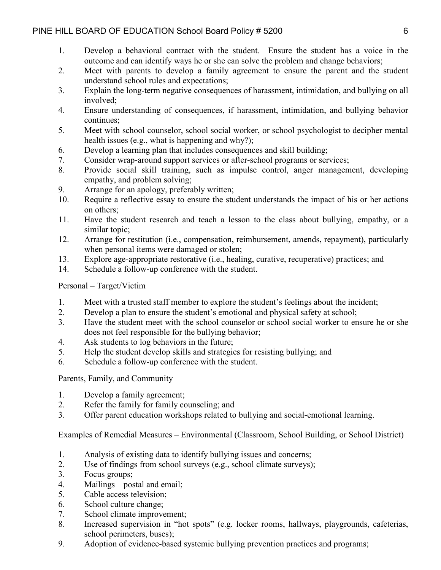- 1. Develop a behavioral contract with the student. Ensure the student has a voice in the outcome and can identify ways he or she can solve the problem and change behaviors;
- 2. Meet with parents to develop a family agreement to ensure the parent and the student understand school rules and expectations;
- 3. Explain the long-term negative consequences of harassment, intimidation, and bullying on all involved;
- 4. Ensure understanding of consequences, if harassment, intimidation, and bullying behavior continues;
- 5. Meet with school counselor, school social worker, or school psychologist to decipher mental health issues (e.g., what is happening and why?);
- 6. Develop a learning plan that includes consequences and skill building;
- 7. Consider wrap-around support services or after-school programs or services;
- 8. Provide social skill training, such as impulse control, anger management, developing empathy, and problem solving;
- 9. Arrange for an apology, preferably written;
- 10. Require a reflective essay to ensure the student understands the impact of his or her actions on others;
- 11. Have the student research and teach a lesson to the class about bullying, empathy, or a similar topic;
- 12. Arrange for restitution (i.e., compensation, reimbursement, amends, repayment), particularly when personal items were damaged or stolen;
- 13. Explore age-appropriate restorative (i.e., healing, curative, recuperative) practices; and
- 14. Schedule a follow-up conference with the student.

## Personal – Target/Victim

- 1. Meet with a trusted staff member to explore the student's feelings about the incident;
- 2. Develop a plan to ensure the student's emotional and physical safety at school;
- 3. Have the student meet with the school counselor or school social worker to ensure he or she does not feel responsible for the bullying behavior;
- 4. Ask students to log behaviors in the future;
- 5. Help the student develop skills and strategies for resisting bullying; and
- 6. Schedule a follow-up conference with the student.

Parents, Family, and Community

- 1. Develop a family agreement;
- 2. Refer the family for family counseling; and
- 3. Offer parent education workshops related to bullying and social-emotional learning.

Examples of Remedial Measures – Environmental (Classroom, School Building, or School District)

- 1. Analysis of existing data to identify bullying issues and concerns;
- 2. Use of findings from school surveys (e.g., school climate surveys);
- 3. Focus groups;
- 4. Mailings postal and email;
- 5. Cable access television;
- 6. School culture change;
- 7. School climate improvement;
- 8. Increased supervision in "hot spots" (e.g. locker rooms, hallways, playgrounds, cafeterias, school perimeters, buses);
- 9. Adoption of evidence-based systemic bullying prevention practices and programs;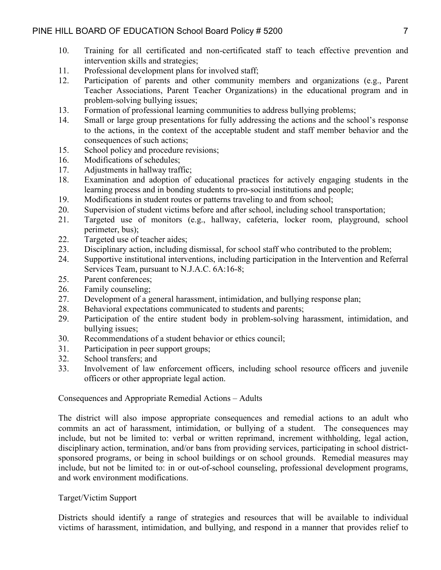- 10. Training for all certificated and non-certificated staff to teach effective prevention and intervention skills and strategies;
- 11. Professional development plans for involved staff;
- 12. Participation of parents and other community members and organizations (e.g., Parent Teacher Associations, Parent Teacher Organizations) in the educational program and in problem-solving bullying issues;
- 13. Formation of professional learning communities to address bullying problems;
- 14. Small or large group presentations for fully addressing the actions and the school's response to the actions, in the context of the acceptable student and staff member behavior and the consequences of such actions;
- 15. School policy and procedure revisions;
- 16. Modifications of schedules;
- 17. Adjustments in hallway traffic;
- 18. Examination and adoption of educational practices for actively engaging students in the learning process and in bonding students to pro-social institutions and people;
- 19. Modifications in student routes or patterns traveling to and from school;
- 20. Supervision of student victims before and after school, including school transportation;
- 21. Targeted use of monitors (e.g., hallway, cafeteria, locker room, playground, school perimeter, bus);
- 22. Targeted use of teacher aides;
- 23. Disciplinary action, including dismissal, for school staff who contributed to the problem;
- 24. Supportive institutional interventions, including participation in the Intervention and Referral Services Team, pursuant to N.J.A.C. 6A:16-8;
- 25. Parent conferences;
- 26. Family counseling;
- 27. Development of a general harassment, intimidation, and bullying response plan;
- 28. Behavioral expectations communicated to students and parents;
- 29. Participation of the entire student body in problem-solving harassment, intimidation, and bullying issues;
- 30. Recommendations of a student behavior or ethics council;
- 31. Participation in peer support groups;
- 32. School transfers; and
- 33. Involvement of law enforcement officers, including school resource officers and juvenile officers or other appropriate legal action.

## Consequences and Appropriate Remedial Actions – Adults

The district will also impose appropriate consequences and remedial actions to an adult who commits an act of harassment, intimidation, or bullying of a student. The consequences may include, but not be limited to: verbal or written reprimand, increment withholding, legal action, disciplinary action, termination, and/or bans from providing services, participating in school districtsponsored programs, or being in school buildings or on school grounds. Remedial measures may include, but not be limited to: in or out-of-school counseling, professional development programs, and work environment modifications.

## Target/Victim Support

Districts should identify a range of strategies and resources that will be available to individual victims of harassment, intimidation, and bullying, and respond in a manner that provides relief to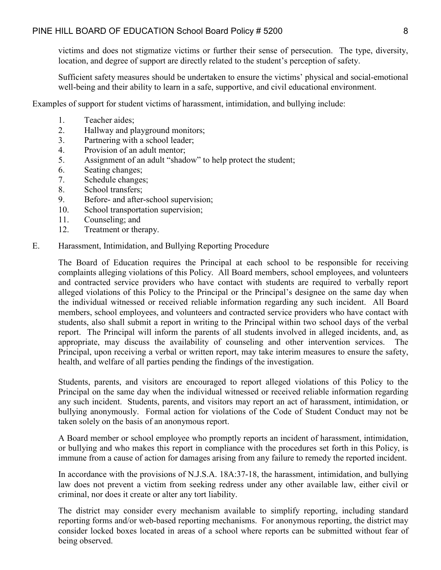victims and does not stigmatize victims or further their sense of persecution. The type, diversity, location, and degree of support are directly related to the student's perception of safety.

Sufficient safety measures should be undertaken to ensure the victims' physical and social-emotional well-being and their ability to learn in a safe, supportive, and civil educational environment.

Examples of support for student victims of harassment, intimidation, and bullying include:

- 1. Teacher aides;
- 2. Hallway and playground monitors;
- 3. Partnering with a school leader;
- 4. Provision of an adult mentor;
- 5. Assignment of an adult "shadow" to help protect the student;
- 6. Seating changes;
- 7. Schedule changes;
- 8. School transfers;
- 9. Before- and after-school supervision;
- 10. School transportation supervision;
- 11. Counseling; and
- 12. Treatment or therapy.
- E. Harassment, Intimidation, and Bullying Reporting Procedure

The Board of Education requires the Principal at each school to be responsible for receiving complaints alleging violations of this Policy. All Board members, school employees, and volunteers and contracted service providers who have contact with students are required to verbally report alleged violations of this Policy to the Principal or the Principal's designee on the same day when the individual witnessed or received reliable information regarding any such incident. All Board members, school employees, and volunteers and contracted service providers who have contact with students, also shall submit a report in writing to the Principal within two school days of the verbal report. The Principal will inform the parents of all students involved in alleged incidents, and, as appropriate, may discuss the availability of counseling and other intervention services. The Principal, upon receiving a verbal or written report, may take interim measures to ensure the safety, health, and welfare of all parties pending the findings of the investigation.

Students, parents, and visitors are encouraged to report alleged violations of this Policy to the Principal on the same day when the individual witnessed or received reliable information regarding any such incident. Students, parents, and visitors may report an act of harassment, intimidation, or bullying anonymously. Formal action for violations of the Code of Student Conduct may not be taken solely on the basis of an anonymous report.

A Board member or school employee who promptly reports an incident of harassment, intimidation, or bullying and who makes this report in compliance with the procedures set forth in this Policy, is immune from a cause of action for damages arising from any failure to remedy the reported incident.

In accordance with the provisions of N.J.S.A. 18A:37-18, the harassment, intimidation, and bullying law does not prevent a victim from seeking redress under any other available law, either civil or criminal, nor does it create or alter any tort liability.

The district may consider every mechanism available to simplify reporting, including standard reporting forms and/or web-based reporting mechanisms. For anonymous reporting, the district may consider locked boxes located in areas of a school where reports can be submitted without fear of being observed.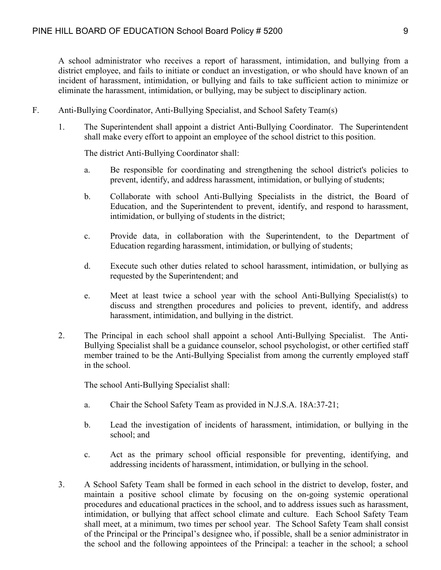A school administrator who receives a report of harassment, intimidation, and bullying from a district employee, and fails to initiate or conduct an investigation, or who should have known of an incident of harassment, intimidation, or bullying and fails to take sufficient action to minimize or eliminate the harassment, intimidation, or bullying, may be subject to disciplinary action.

- F. Anti-Bullying Coordinator, Anti-Bullying Specialist, and School Safety Team(s)
	- 1. The Superintendent shall appoint a district Anti-Bullying Coordinator. The Superintendent shall make every effort to appoint an employee of the school district to this position.

The district Anti-Bullying Coordinator shall:

- a. Be responsible for coordinating and strengthening the school district's policies to prevent, identify, and address harassment, intimidation, or bullying of students;
- b. Collaborate with school Anti-Bullying Specialists in the district, the Board of Education, and the Superintendent to prevent, identify, and respond to harassment, intimidation, or bullying of students in the district;
- c. Provide data, in collaboration with the Superintendent, to the Department of Education regarding harassment, intimidation, or bullying of students;
- d. Execute such other duties related to school harassment, intimidation, or bullying as requested by the Superintendent; and
- e. Meet at least twice a school year with the school Anti-Bullying Specialist(s) to discuss and strengthen procedures and policies to prevent, identify, and address harassment, intimidation, and bullying in the district.
- 2. The Principal in each school shall appoint a school Anti-Bullying Specialist. The Anti-Bullying Specialist shall be a guidance counselor, school psychologist, or other certified staff member trained to be the Anti-Bullying Specialist from among the currently employed staff in the school.

The school Anti-Bullying Specialist shall:

- a. Chair the School Safety Team as provided in N.J.S.A. 18A:37-21;
- b. Lead the investigation of incidents of harassment, intimidation, or bullying in the school; and
- c. Act as the primary school official responsible for preventing, identifying, and addressing incidents of harassment, intimidation, or bullying in the school.
- 3. A School Safety Team shall be formed in each school in the district to develop, foster, and maintain a positive school climate by focusing on the on-going systemic operational procedures and educational practices in the school, and to address issues such as harassment, intimidation, or bullying that affect school climate and culture. Each School Safety Team shall meet, at a minimum, two times per school year. The School Safety Team shall consist of the Principal or the Principal's designee who, if possible, shall be a senior administrator in the school and the following appointees of the Principal: a teacher in the school; a school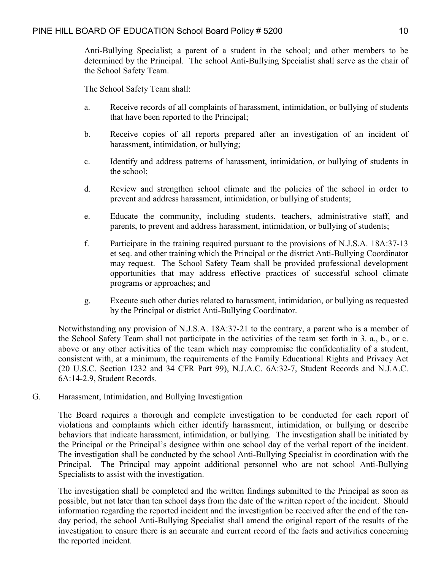Anti-Bullying Specialist; a parent of a student in the school; and other members to be determined by the Principal. The school Anti-Bullying Specialist shall serve as the chair of the School Safety Team.

The School Safety Team shall:

- a. Receive records of all complaints of harassment, intimidation, or bullying of students that have been reported to the Principal;
- b. Receive copies of all reports prepared after an investigation of an incident of harassment, intimidation, or bullying;
- c. Identify and address patterns of harassment, intimidation, or bullying of students in the school;
- d. Review and strengthen school climate and the policies of the school in order to prevent and address harassment, intimidation, or bullying of students;
- e. Educate the community, including students, teachers, administrative staff, and parents, to prevent and address harassment, intimidation, or bullying of students;
- f. Participate in the training required pursuant to the provisions of N.J.S.A. 18A:37-13 et seq. and other training which the Principal or the district Anti-Bullying Coordinator may request. The School Safety Team shall be provided professional development opportunities that may address effective practices of successful school climate programs or approaches; and
- g. Execute such other duties related to harassment, intimidation, or bullying as requested by the Principal or district Anti-Bullying Coordinator.

Notwithstanding any provision of N.J.S.A. 18A:37-21 to the contrary, a parent who is a member of the School Safety Team shall not participate in the activities of the team set forth in 3. a., b., or c. above or any other activities of the team which may compromise the confidentiality of a student, consistent with, at a minimum, the requirements of the Family Educational Rights and Privacy Act (20 U.S.C. Section 1232 and 34 CFR Part 99), N.J.A.C. 6A:32-7, Student Records and N.J.A.C. 6A:14-2.9, Student Records.

G. Harassment, Intimidation, and Bullying Investigation

The Board requires a thorough and complete investigation to be conducted for each report of violations and complaints which either identify harassment, intimidation, or bullying or describe behaviors that indicate harassment, intimidation, or bullying. The investigation shall be initiated by the Principal or the Principal's designee within one school day of the verbal report of the incident. The investigation shall be conducted by the school Anti-Bullying Specialist in coordination with the Principal. The Principal may appoint additional personnel who are not school Anti-Bullying Specialists to assist with the investigation.

The investigation shall be completed and the written findings submitted to the Principal as soon as possible, but not later than ten school days from the date of the written report of the incident. Should information regarding the reported incident and the investigation be received after the end of the tenday period, the school Anti-Bullying Specialist shall amend the original report of the results of the investigation to ensure there is an accurate and current record of the facts and activities concerning the reported incident.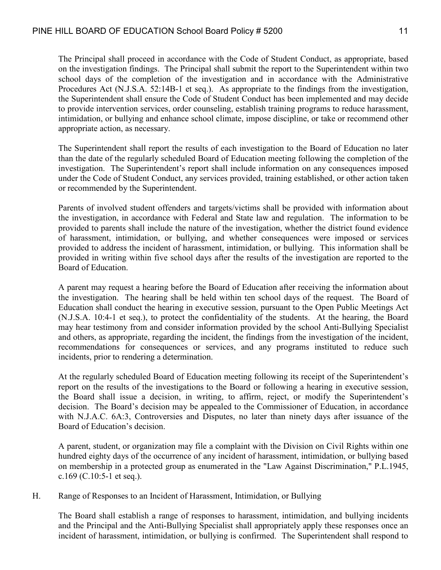The Principal shall proceed in accordance with the Code of Student Conduct, as appropriate, based on the investigation findings. The Principal shall submit the report to the Superintendent within two school days of the completion of the investigation and in accordance with the Administrative Procedures Act (N.J.S.A. 52:14B-1 et seq.). As appropriate to the findings from the investigation, the Superintendent shall ensure the Code of Student Conduct has been implemented and may decide to provide intervention services, order counseling, establish training programs to reduce harassment, intimidation, or bullying and enhance school climate, impose discipline, or take or recommend other appropriate action, as necessary.

The Superintendent shall report the results of each investigation to the Board of Education no later than the date of the regularly scheduled Board of Education meeting following the completion of the investigation. The Superintendent's report shall include information on any consequences imposed under the Code of Student Conduct, any services provided, training established, or other action taken or recommended by the Superintendent.

Parents of involved student offenders and targets/victims shall be provided with information about the investigation, in accordance with Federal and State law and regulation. The information to be provided to parents shall include the nature of the investigation, whether the district found evidence of harassment, intimidation, or bullying, and whether consequences were imposed or services provided to address the incident of harassment, intimidation, or bullying. This information shall be provided in writing within five school days after the results of the investigation are reported to the Board of Education.

A parent may request a hearing before the Board of Education after receiving the information about the investigation. The hearing shall be held within ten school days of the request. The Board of Education shall conduct the hearing in executive session, pursuant to the Open Public Meetings Act (N.J.S.A. 10:4-1 et seq.), to protect the confidentiality of the students. At the hearing, the Board may hear testimony from and consider information provided by the school Anti-Bullying Specialist and others, as appropriate, regarding the incident, the findings from the investigation of the incident, recommendations for consequences or services, and any programs instituted to reduce such incidents, prior to rendering a determination.

At the regularly scheduled Board of Education meeting following its receipt of the Superintendent's report on the results of the investigations to the Board or following a hearing in executive session, the Board shall issue a decision, in writing, to affirm, reject, or modify the Superintendent's decision. The Board's decision may be appealed to the Commissioner of Education, in accordance with N.J.A.C. 6A:3, Controversies and Disputes, no later than ninety days after issuance of the Board of Education's decision.

A parent, student, or organization may file a complaint with the Division on Civil Rights within one hundred eighty days of the occurrence of any incident of harassment, intimidation, or bullying based on membership in a protected group as enumerated in the "Law Against Discrimination," P.L.1945, c.169 (C.10:5-1 et seq.).

H. Range of Responses to an Incident of Harassment, Intimidation, or Bullying

The Board shall establish a range of responses to harassment, intimidation, and bullying incidents and the Principal and the Anti-Bullying Specialist shall appropriately apply these responses once an incident of harassment, intimidation, or bullying is confirmed. The Superintendent shall respond to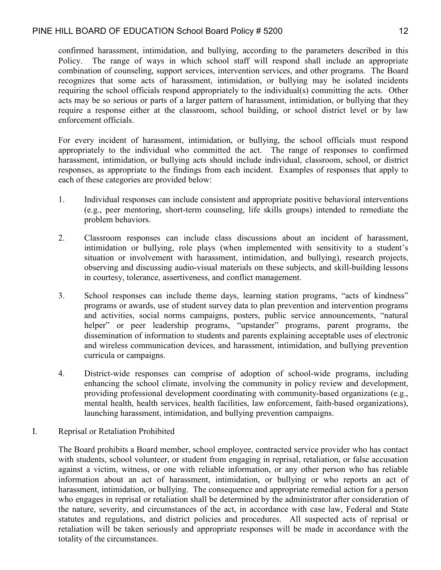#### PINE HILL BOARD OF EDUCATION School Board Policy # 5200

confirmed harassment, intimidation, and bullying, according to the parameters described in this Policy. The range of ways in which school staff will respond shall include an appropriate combination of counseling, support services, intervention services, and other programs. The Board recognizes that some acts of harassment, intimidation, or bullying may be isolated incidents requiring the school officials respond appropriately to the individual(s) committing the acts. Other acts may be so serious or parts of a larger pattern of harassment, intimidation, or bullying that they require a response either at the classroom, school building, or school district level or by law enforcement officials.

For every incident of harassment, intimidation, or bullying, the school officials must respond appropriately to the individual who committed the act. The range of responses to confirmed harassment, intimidation, or bullying acts should include individual, classroom, school, or district responses, as appropriate to the findings from each incident. Examples of responses that apply to each of these categories are provided below:

- 1. Individual responses can include consistent and appropriate positive behavioral interventions (e.g., peer mentoring, short-term counseling, life skills groups) intended to remediate the problem behaviors.
- 2. Classroom responses can include class discussions about an incident of harassment, intimidation or bullying, role plays (when implemented with sensitivity to a student's situation or involvement with harassment, intimidation, and bullying), research projects, observing and discussing audio-visual materials on these subjects, and skill-building lessons in courtesy, tolerance, assertiveness, and conflict management.
- 3. School responses can include theme days, learning station programs, "acts of kindness" programs or awards, use of student survey data to plan prevention and intervention programs and activities, social norms campaigns, posters, public service announcements, "natural helper" or peer leadership programs, "upstander" programs, parent programs, the dissemination of information to students and parents explaining acceptable uses of electronic and wireless communication devices, and harassment, intimidation, and bullying prevention curricula or campaigns.
- 4. District-wide responses can comprise of adoption of school-wide programs, including enhancing the school climate, involving the community in policy review and development, providing professional development coordinating with community-based organizations (e.g., mental health, health services, health facilities, law enforcement, faith-based organizations), launching harassment, intimidation, and bullying prevention campaigns.
- I. Reprisal or Retaliation Prohibited

The Board prohibits a Board member, school employee, contracted service provider who has contact with students, school volunteer, or student from engaging in reprisal, retaliation, or false accusation against a victim, witness, or one with reliable information, or any other person who has reliable information about an act of harassment, intimidation, or bullying or who reports an act of harassment, intimidation, or bullying. The consequence and appropriate remedial action for a person who engages in reprisal or retaliation shall be determined by the administrator after consideration of the nature, severity, and circumstances of the act, in accordance with case law, Federal and State statutes and regulations, and district policies and procedures. All suspected acts of reprisal or retaliation will be taken seriously and appropriate responses will be made in accordance with the totality of the circumstances.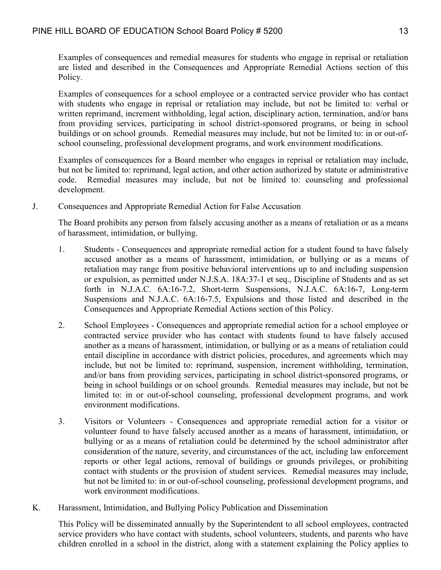Examples of consequences and remedial measures for students who engage in reprisal or retaliation are listed and described in the Consequences and Appropriate Remedial Actions section of this Policy.

Examples of consequences for a school employee or a contracted service provider who has contact with students who engage in reprisal or retaliation may include, but not be limited to: verbal or written reprimand, increment withholding, legal action, disciplinary action, termination, and/or bans from providing services, participating in school district-sponsored programs, or being in school buildings or on school grounds. Remedial measures may include, but not be limited to: in or out-ofschool counseling, professional development programs, and work environment modifications.

Examples of consequences for a Board member who engages in reprisal or retaliation may include, but not be limited to: reprimand, legal action, and other action authorized by statute or administrative code. Remedial measures may include, but not be limited to: counseling and professional development.

J. Consequences and Appropriate Remedial Action for False Accusation

The Board prohibits any person from falsely accusing another as a means of retaliation or as a means of harassment, intimidation, or bullying.

- 1. Students Consequences and appropriate remedial action for a student found to have falsely accused another as a means of harassment, intimidation, or bullying or as a means of retaliation may range from positive behavioral interventions up to and including suspension or expulsion, as permitted under N.J.S.A. 18A:37-1 et seq., Discipline of Students and as set forth in N.J.A.C. 6A:16-7.2, Short-term Suspensions, N.J.A.C. 6A:16-7, Long-term Suspensions and N.J.A.C. 6A:16-7.5, Expulsions and those listed and described in the Consequences and Appropriate Remedial Actions section of this Policy.
- 2. School Employees Consequences and appropriate remedial action for a school employee or contracted service provider who has contact with students found to have falsely accused another as a means of harassment, intimidation, or bullying or as a means of retaliation could entail discipline in accordance with district policies, procedures, and agreements which may include, but not be limited to: reprimand, suspension, increment withholding, termination, and/or bans from providing services, participating in school district-sponsored programs, or being in school buildings or on school grounds. Remedial measures may include, but not be limited to: in or out-of-school counseling, professional development programs, and work environment modifications.
- 3. Visitors or Volunteers Consequences and appropriate remedial action for a visitor or volunteer found to have falsely accused another as a means of harassment, intimidation, or bullying or as a means of retaliation could be determined by the school administrator after consideration of the nature, severity, and circumstances of the act, including law enforcement reports or other legal actions, removal of buildings or grounds privileges, or prohibiting contact with students or the provision of student services. Remedial measures may include, but not be limited to: in or out-of-school counseling, professional development programs, and work environment modifications.
- K. Harassment, Intimidation, and Bullying Policy Publication and Dissemination

This Policy will be disseminated annually by the Superintendent to all school employees, contracted service providers who have contact with students, school volunteers, students, and parents who have children enrolled in a school in the district, along with a statement explaining the Policy applies to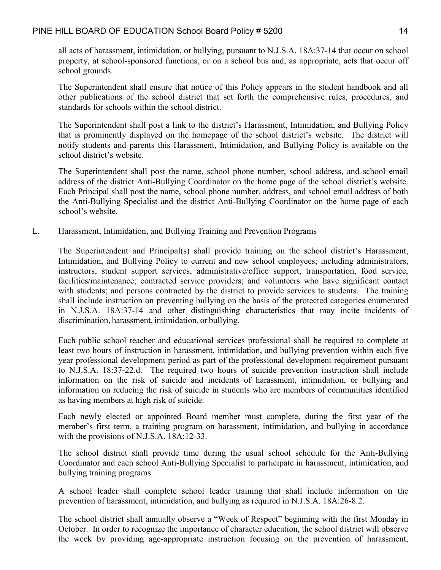all acts of harassment, intimidation, or bullying, pursuant to N.J.S.A. 18A:37-14 that occur on school property, at school-sponsored functions, or on a school bus and, as appropriate, acts that occur off school grounds.

The Superintendent shall ensure that notice of this Policy appears in the student handbook and all other publications of the school district that set forth the comprehensive rules, procedures, and standards for schools within the school district.

The Superintendent shall post a link to the district's Harassment, Intimidation, and Bullying Policy that is prominently displayed on the homepage of the school district's website. The district will notify students and parents this Harassment, Intimidation, and Bullying Policy is available on the school district's website.

The Superintendent shall post the name, school phone number, school address, and school email address of the district Anti-Bullying Coordinator on the home page of the school district's website. Each Principal shall post the name, school phone number, address, and school email address of both the Anti-Bullying Specialist and the district Anti-Bullying Coordinator on the home page of each school's website.

L. Harassment, Intimidation, and Bullying Training and Prevention Programs

The Superintendent and Principal(s) shall provide training on the school district's Harassment, Intimidation, and Bullying Policy to current and new school employees; including administrators, instructors, student support services, administrative/office support, transportation, food service, facilities/maintenance; contracted service providers; and volunteers who have significant contact with students; and persons contracted by the district to provide services to students. The training shall include instruction on preventing bullying on the basis of the protected categories enumerated in N.J.S.A. 18A:37-14 and other distinguishing characteristics that may incite incidents of discrimination, harassment, intimidation, or bullying.

Each public school teacher and educational services professional shall be required to complete at least two hours of instruction in harassment, intimidation, and bullying prevention within each five year professional development period as part of the professional development requirement pursuant to N.J.S.A. 18:37-22.d. The required two hours of suicide prevention instruction shall include information on the risk of suicide and incidents of harassment, intimidation, or bullying and information on reducing the risk of suicide in students who are members of communities identified as having members at high risk of suicide.

Each newly elected or appointed Board member must complete, during the first year of the member's first term, a training program on harassment, intimidation, and bullying in accordance with the provisions of N.J.S.A. 18A:12-33.

The school district shall provide time during the usual school schedule for the Anti-Bullying Coordinator and each school Anti-Bullying Specialist to participate in harassment, intimidation, and bullying training programs.

A school leader shall complete school leader training that shall include information on the prevention of harassment, intimidation, and bullying as required in N.J.S.A. 18A:26-8.2.

The school district shall annually observe a "Week of Respect" beginning with the first Monday in October. In order to recognize the importance of character education, the school district will observe the week by providing age-appropriate instruction focusing on the prevention of harassment,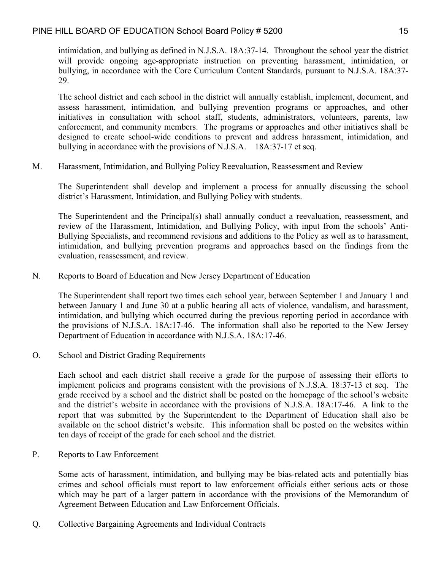intimidation, and bullying as defined in N.J.S.A. 18A:37-14. Throughout the school year the district will provide ongoing age-appropriate instruction on preventing harassment, intimidation, or bullying, in accordance with the Core Curriculum Content Standards, pursuant to N.J.S.A. 18A:37- 29.

The school district and each school in the district will annually establish, implement, document, and assess harassment, intimidation, and bullying prevention programs or approaches, and other initiatives in consultation with school staff, students, administrators, volunteers, parents, law enforcement, and community members. The programs or approaches and other initiatives shall be designed to create school-wide conditions to prevent and address harassment, intimidation, and bullying in accordance with the provisions of N.J.S.A. 18A:37-17 et seq.

M. Harassment, Intimidation, and Bullying Policy Reevaluation, Reassessment and Review

The Superintendent shall develop and implement a process for annually discussing the school district's Harassment, Intimidation, and Bullying Policy with students.

The Superintendent and the Principal(s) shall annually conduct a reevaluation, reassessment, and review of the Harassment, Intimidation, and Bullying Policy, with input from the schools' Anti-Bullying Specialists, and recommend revisions and additions to the Policy as well as to harassment, intimidation, and bullying prevention programs and approaches based on the findings from the evaluation, reassessment, and review.

N. Reports to Board of Education and New Jersey Department of Education

The Superintendent shall report two times each school year, between September 1 and January 1 and between January 1 and June 30 at a public hearing all acts of violence, vandalism, and harassment, intimidation, and bullying which occurred during the previous reporting period in accordance with the provisions of N.J.S.A. 18A:17-46. The information shall also be reported to the New Jersey Department of Education in accordance with N.J.S.A. 18A:17-46.

O. School and District Grading Requirements

Each school and each district shall receive a grade for the purpose of assessing their efforts to implement policies and programs consistent with the provisions of N.J.S.A. 18:37-13 et seq. The grade received by a school and the district shall be posted on the homepage of the school's website and the district's website in accordance with the provisions of N.J.S.A. 18A:17-46. A link to the report that was submitted by the Superintendent to the Department of Education shall also be available on the school district's website. This information shall be posted on the websites within ten days of receipt of the grade for each school and the district.

P. Reports to Law Enforcement

Some acts of harassment, intimidation, and bullying may be bias-related acts and potentially bias crimes and school officials must report to law enforcement officials either serious acts or those which may be part of a larger pattern in accordance with the provisions of the Memorandum of Agreement Between Education and Law Enforcement Officials.

Q. Collective Bargaining Agreements and Individual Contracts